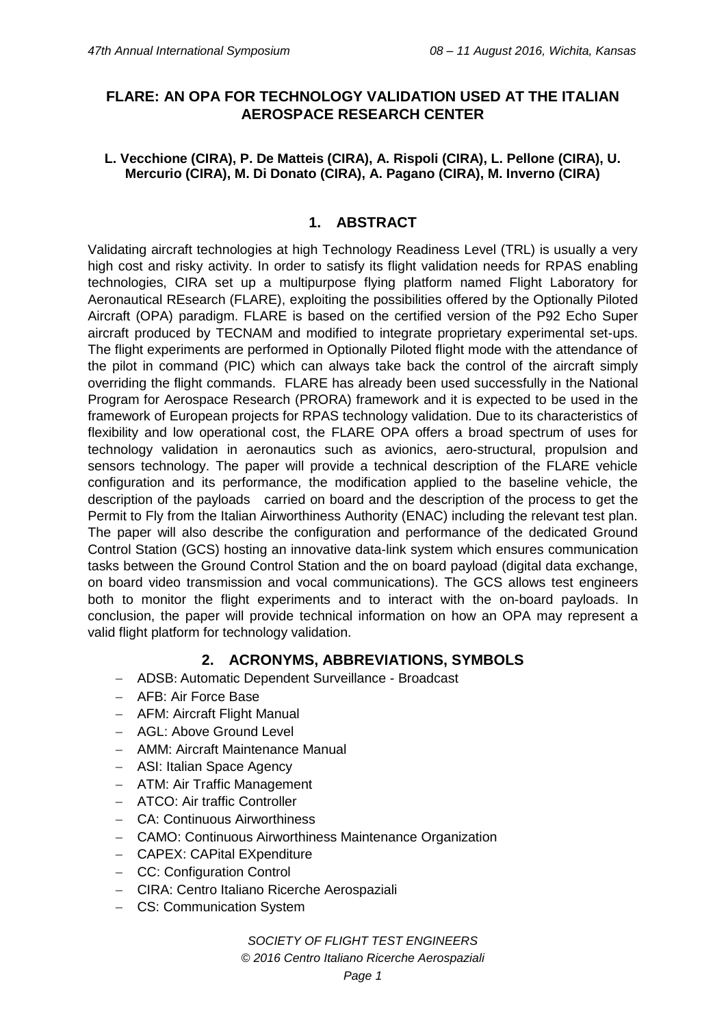# **FLARE: AN OPA FOR TECHNOLOGY VALIDATION USED AT THE ITALIAN AEROSPACE RESEARCH CENTER**

#### **L. Vecchione (CIRA), P. De Matteis (CIRA), A. Rispoli (CIRA), L. Pellone (CIRA), U. Mercurio (CIRA), M. Di Donato (CIRA), A. Pagano (CIRA), M. Inverno (CIRA)**

#### **1. ABSTRACT**

Validating aircraft technologies at high Technology Readiness Level (TRL) is usually a very high cost and risky activity. In order to satisfy its flight validation needs for RPAS enabling technologies, CIRA set up a multipurpose flying platform named Flight Laboratory for Aeronautical REsearch (FLARE), exploiting the possibilities offered by the Optionally Piloted Aircraft (OPA) paradigm. FLARE is based on the certified version of the P92 Echo Super aircraft produced by TECNAM and modified to integrate proprietary experimental set-ups. The flight experiments are performed in Optionally Piloted flight mode with the attendance of the pilot in command (PIC) which can always take back the control of the aircraft simply overriding the flight commands. FLARE has already been used successfully in the National Program for Aerospace Research (PRORA) framework and it is expected to be used in the framework of European projects for RPAS technology validation. Due to its characteristics of flexibility and low operational cost, the FLARE OPA offers a broad spectrum of uses for technology validation in aeronautics such as avionics, aero-structural, propulsion and sensors technology. The paper will provide a technical description of the FLARE vehicle configuration and its performance, the modification applied to the baseline vehicle, the description of the payloads carried on board and the description of the process to get the Permit to Fly from the Italian Airworthiness Authority (ENAC) including the relevant test plan. The paper will also describe the configuration and performance of the dedicated Ground Control Station (GCS) hosting an innovative data-link system which ensures communication tasks between the Ground Control Station and the on board payload (digital data exchange, on board video transmission and vocal communications). The GCS allows test engineers both to monitor the flight experiments and to interact with the on-board payloads. In conclusion, the paper will provide technical information on how an OPA may represent a valid flight platform for technology validation.

## **2. ACRONYMS, ABBREVIATIONS, SYMBOLS**

- ADSB: Automatic Dependent Surveillance Broadcast
- AFB: Air Force Base
- AFM: Aircraft Flight Manual
- AGL: Above Ground Level
- AMM: Aircraft Maintenance Manual
- ASI: Italian Space Agency
- ATM: Air Traffic Management
- ATCO: Air traffic Controller
- CA: Continuous Airworthiness
- CAMO: Continuous Airworthiness Maintenance Organization
- CAPEX: CAPital EXpenditure
- CC: Configuration Control
- CIRA: Centro Italiano Ricerche Aerospaziali
- CS: Communication System

*SOCIETY OF FLIGHT TEST ENGINEERS*

*© 2016 Centro Italiano Ricerche Aerospaziali*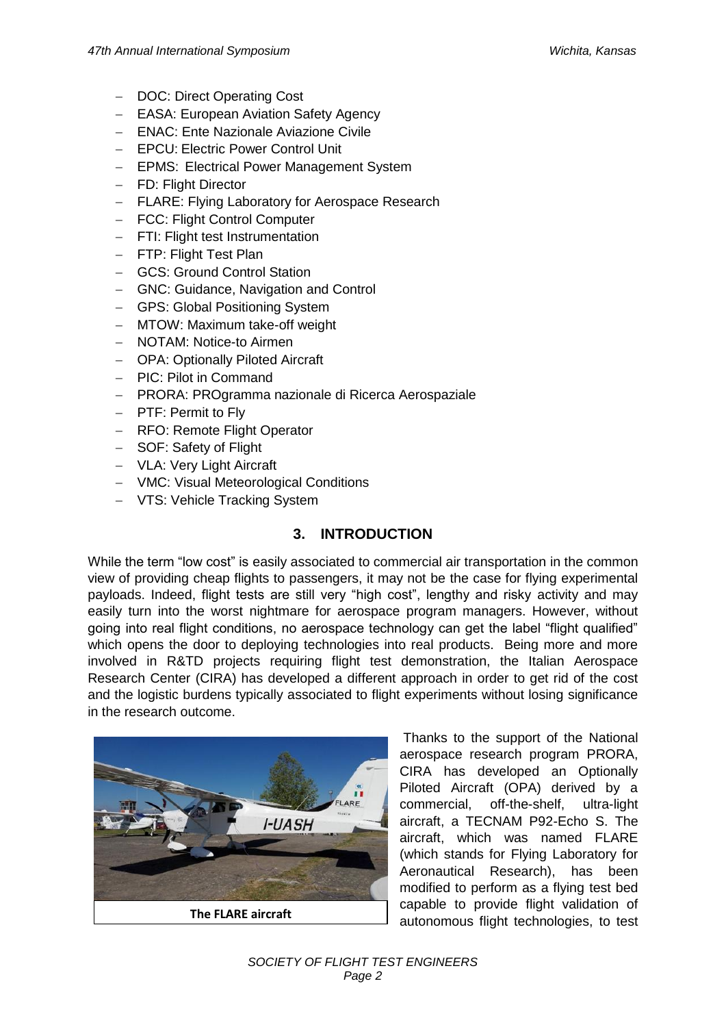- DOC: Direct Operating Cost
- **EASA: European Aviation Safety Agency**
- ENAC: Ente Nazionale Aviazione Civile
- EPCU: Electric Power Control Unit
- EPMS: Electrical Power Management System
- FD: Flight Director
- FLARE: Flying Laboratory for Aerospace Research
- FCC: Flight Control Computer
- FTI: Flight test Instrumentation
- FTP: Flight Test Plan
- GCS: Ground Control Station
- GNC: Guidance, Navigation and Control
- GPS: Global Positioning System
- MTOW: Maximum take-off weight
- NOTAM: Notice-to Airmen
- OPA: Optionally Piloted Aircraft
- PIC: Pilot in Command
- PRORA: PROgramma nazionale di Ricerca Aerospaziale
- PTF: Permit to Fly
- RFO: Remote Flight Operator
- SOF: Safety of Flight
- VLA: Very Light Aircraft
- VMC: Visual Meteorological Conditions
- VTS: Vehicle Tracking System

## **3. INTRODUCTION**

While the term "low cost" is easily associated to commercial air transportation in the common view of providing cheap flights to passengers, it may not be the case for flying experimental payloads. Indeed, flight tests are still very "high cost", lengthy and risky activity and may easily turn into the worst nightmare for aerospace program managers. However, without going into real flight conditions, no aerospace technology can get the label "flight qualified" which opens the door to deploying technologies into real products. Being more and more involved in R&TD projects requiring flight test demonstration, the Italian Aerospace Research Center (CIRA) has developed a different approach in order to get rid of the cost and the logistic burdens typically associated to flight experiments without losing significance in the research outcome.



Thanks to the support of the National aerospace research program PRORA, CIRA has developed an Optionally Piloted Aircraft (OPA) derived by a commercial, off-the-shelf, ultra-light aircraft, a TECNAM P92-Echo S. The aircraft, which was named FLARE (which stands for Flying Laboratory for Aeronautical Research), has been modified to perform as a flying test bed capable to provide flight validation of The FLARE aircraft<br>autonomous flight technologies, to test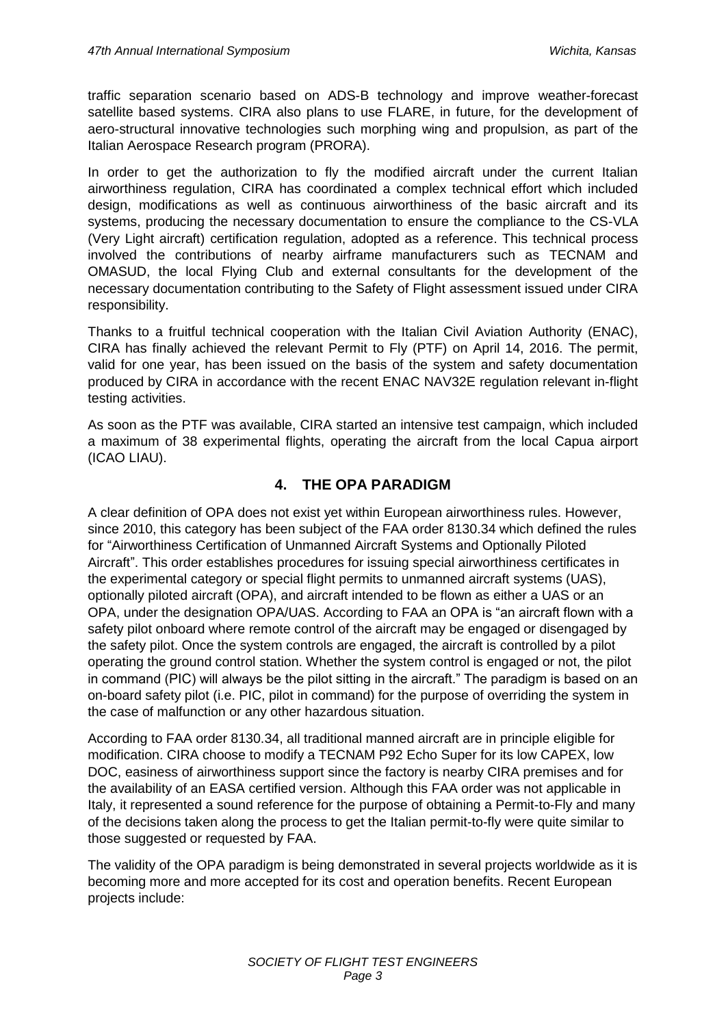traffic separation scenario based on ADS-B technology and improve weather-forecast satellite based systems. CIRA also plans to use FLARE, in future, for the development of aero-structural innovative technologies such morphing wing and propulsion, as part of the Italian Aerospace Research program (PRORA).

In order to get the authorization to fly the modified aircraft under the current Italian airworthiness regulation, CIRA has coordinated a complex technical effort which included design, modifications as well as continuous airworthiness of the basic aircraft and its systems, producing the necessary documentation to ensure the compliance to the CS-VLA (Very Light aircraft) certification regulation, adopted as a reference. This technical process involved the contributions of nearby airframe manufacturers such as TECNAM and OMASUD, the local Flying Club and external consultants for the development of the necessary documentation contributing to the Safety of Flight assessment issued under CIRA responsibility.

Thanks to a fruitful technical cooperation with the Italian Civil Aviation Authority (ENAC), CIRA has finally achieved the relevant Permit to Fly (PTF) on April 14, 2016. The permit, valid for one year, has been issued on the basis of the system and safety documentation produced by CIRA in accordance with the recent ENAC NAV32E regulation relevant in-flight testing activities.

As soon as the PTF was available, CIRA started an intensive test campaign, which included a maximum of 38 experimental flights, operating the aircraft from the local Capua airport (ICAO LIAU).

## **4. THE OPA PARADIGM**

A clear definition of OPA does not exist yet within European airworthiness rules. However, since 2010, this category has been subject of the FAA order 8130.34 which defined the rules for "Airworthiness Certification of Unmanned Aircraft Systems and Optionally Piloted Aircraft". This order establishes procedures for issuing special airworthiness certificates in the experimental category or special flight permits to unmanned aircraft systems (UAS), optionally piloted aircraft (OPA), and aircraft intended to be flown as either a UAS or an OPA, under the designation OPA/UAS. According to FAA an OPA is "an aircraft flown with a safety pilot onboard where remote control of the aircraft may be engaged or disengaged by the safety pilot. Once the system controls are engaged, the aircraft is controlled by a pilot operating the ground control station. Whether the system control is engaged or not, the pilot in command (PIC) will always be the pilot sitting in the aircraft." The paradigm is based on an on-board safety pilot (i.e. PIC, pilot in command) for the purpose of overriding the system in the case of malfunction or any other hazardous situation.

According to FAA order 8130.34, all traditional manned aircraft are in principle eligible for modification. CIRA choose to modify a TECNAM P92 Echo Super for its low CAPEX, low DOC, easiness of airworthiness support since the factory is nearby CIRA premises and for the availability of an EASA certified version. Although this FAA order was not applicable in Italy, it represented a sound reference for the purpose of obtaining a Permit-to-Fly and many of the decisions taken along the process to get the Italian permit-to-fly were quite similar to those suggested or requested by FAA.

The validity of the OPA paradigm is being demonstrated in several projects worldwide as it is becoming more and more accepted for its cost and operation benefits. Recent European projects include: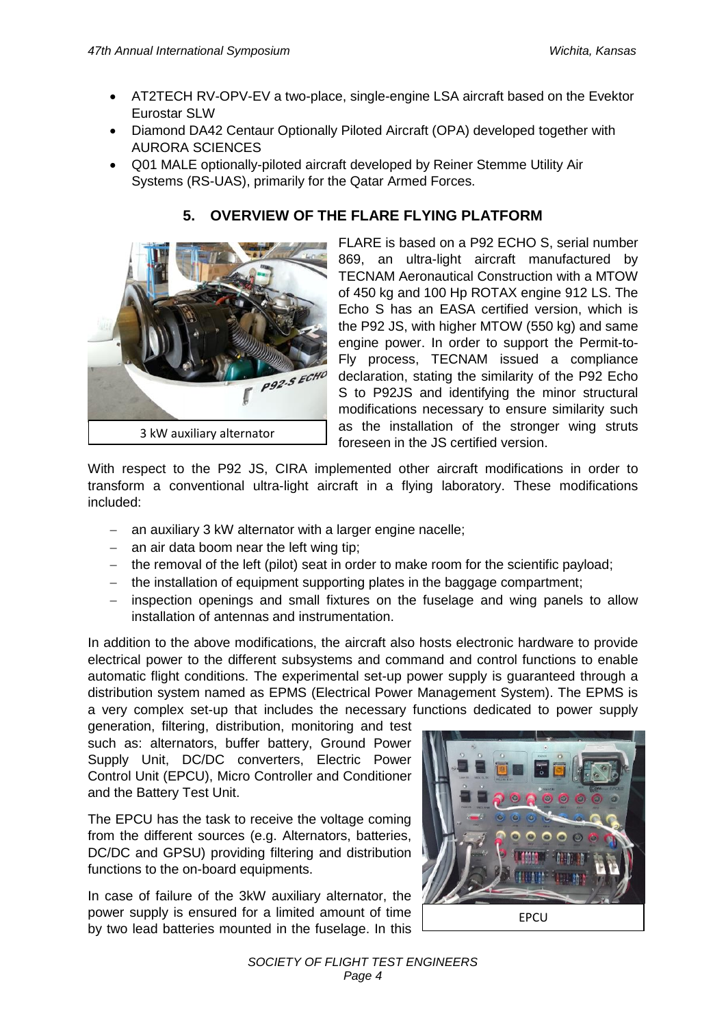- AT2TECH RV-OPV-EV a two-place, single-engine LSA aircraft based on the Evektor Eurostar SLW
- Diamond DA42 Centaur Optionally Piloted Aircraft (OPA) developed together with AURORA SCIENCES
- Q01 MALE optionally-piloted aircraft developed by Reiner Stemme Utility Air Systems (RS-UAS), primarily for the Qatar Armed Forces.



## **5. OVERVIEW OF THE FLARE FLYING PLATFORM**

FLARE is based on a P92 ECHO S, serial number 869, an ultra-light aircraft manufactured by TECNAM Aeronautical Construction with a MTOW of 450 kg and 100 Hp ROTAX engine 912 LS. The Echo S has an EASA certified version, which is the P92 JS, with higher MTOW (550 kg) and same engine power. In order to support the Permit-to-Fly process, TECNAM issued a compliance declaration, stating the similarity of the P92 Echo S to P92JS and identifying the minor structural modifications necessary to ensure similarity such as the installation of the stronger wing struts foreseen in the JS certified version.

With respect to the P92 JS, CIRA implemented other aircraft modifications in order to transform a conventional ultra-light aircraft in a flying laboratory. These modifications included:

- an auxiliary 3 kW alternator with a larger engine nacelle;
- $-$  an air data boom near the left wing tip;
- $-$  the removal of the left (pilot) seat in order to make room for the scientific payload;
- the installation of equipment supporting plates in the baggage compartment;
- inspection openings and small fixtures on the fuselage and wing panels to allow installation of antennas and instrumentation.

In addition to the above modifications, the aircraft also hosts electronic hardware to provide electrical power to the different subsystems and command and control functions to enable automatic flight conditions. The experimental set-up power supply is guaranteed through a distribution system named as EPMS (Electrical Power Management System). The EPMS is a very complex set-up that includes the necessary functions dedicated to power supply

generation, filtering, distribution, monitoring and test such as: alternators, buffer battery, Ground Power Supply Unit, DC/DC converters, Electric Power Control Unit (EPCU), Micro Controller and Conditioner and the Battery Test Unit.

The EPCU has the task to receive the voltage coming from the different sources (e.g. Alternators, batteries, DC/DC and GPSU) providing filtering and distribution functions to the on-board equipments.

In case of failure of the 3kW auxiliary alternator, the power supply is ensured for a limited amount of time by two lead batteries mounted in the fuselage. In this

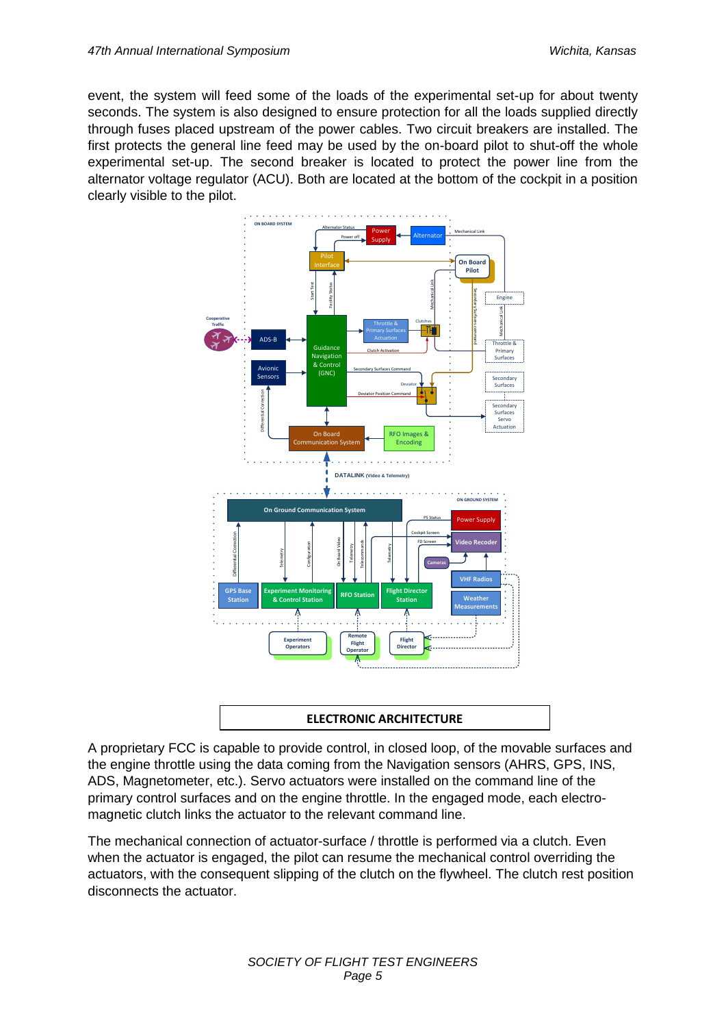event, the system will feed some of the loads of the experimental set-up for about twenty seconds. The system is also designed to ensure protection for all the loads supplied directly through fuses placed upstream of the power cables. Two circuit breakers are installed. The first protects the general line feed may be used by the on-board pilot to shut-off the whole experimental set-up. The second breaker is located to protect the power line from the alternator voltage regulator (ACU). Both are located at the bottom of the cockpit in a position clearly visible to the pilot.



#### **ELECTRONIC ARCHITECTURE**

A proprietary FCC is capable to provide control, in closed loop, of the movable surfaces and the engine throttle using the data coming from the Navigation sensors (AHRS, GPS, INS, ADS, Magnetometer, etc.). Servo actuators were installed on the command line of the primary control surfaces and on the engine throttle. In the engaged mode, each electromagnetic clutch links the actuator to the relevant command line.

The mechanical connection of actuator-surface / throttle is performed via a clutch. Even when the actuator is engaged, the pilot can resume the mechanical control overriding the actuators, with the consequent slipping of the clutch on the flywheel. The clutch rest position disconnects the actuator.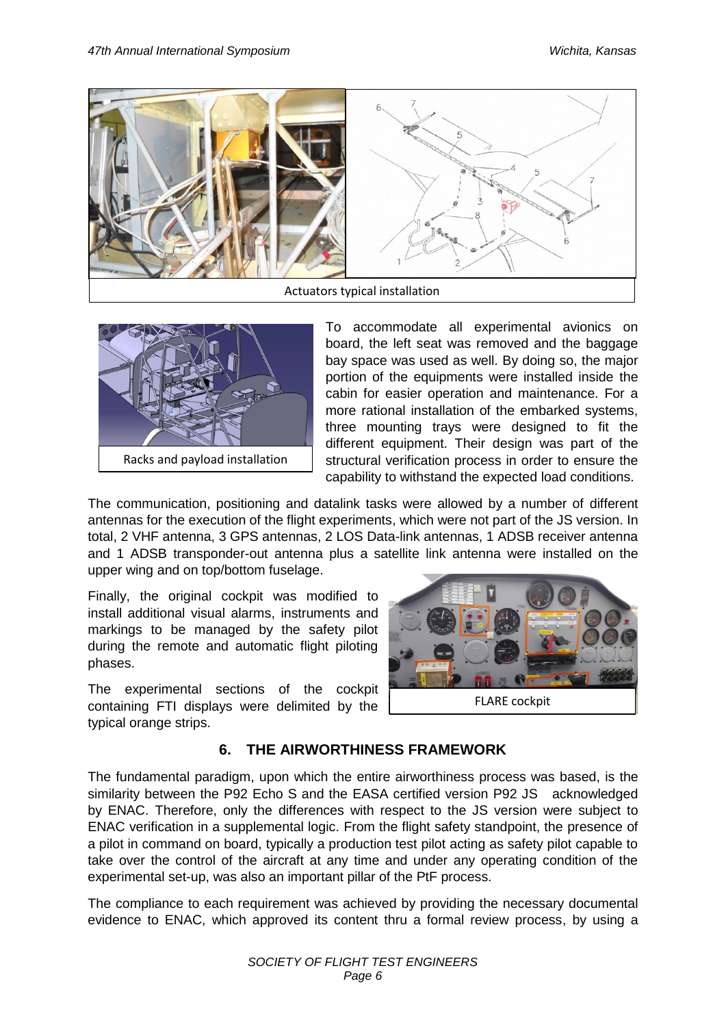



To accommodate all experimental avionics on board, the left seat was removed and the baggage bay space was used as well. By doing so, the major portion of the equipments were installed inside the cabin for easier operation and maintenance. For a more rational installation of the embarked systems, three mounting trays were designed to fit the different equipment. Their design was part of the structural verification process in order to ensure the capability to withstand the expected load conditions.

The communication, positioning and datalink tasks were allowed by a number of different antennas for the execution of the flight experiments, which were not part of the JS version. In total, 2 VHF antenna, 3 GPS antennas, 2 LOS Data-link antennas, 1 ADSB receiver antenna and 1 ADSB transponder-out antenna plus a satellite link antenna were installed on the upper wing and on top/bottom fuselage.

Finally, the original cockpit was modified to install additional visual alarms, instruments and markings to be managed by the safety pilot during the remote and automatic flight piloting phases.

The experimental sections of the cockpit containing FTI displays were delimited by the typical orange strips.



# **6. THE AIRWORTHINESS FRAMEWORK**

The fundamental paradigm, upon which the entire airworthiness process was based, is the similarity between the P92 Echo S and the EASA certified version P92 JS acknowledged by ENAC. Therefore, only the differences with respect to the JS version were subject to ENAC verification in a supplemental logic. From the flight safety standpoint, the presence of a pilot in command on board, typically a production test pilot acting as safety pilot capable to take over the control of the aircraft at any time and under any operating condition of the experimental set-up, was also an important pillar of the PtF process.

The compliance to each requirement was achieved by providing the necessary documental evidence to ENAC, which approved its content thru a formal review process, by using a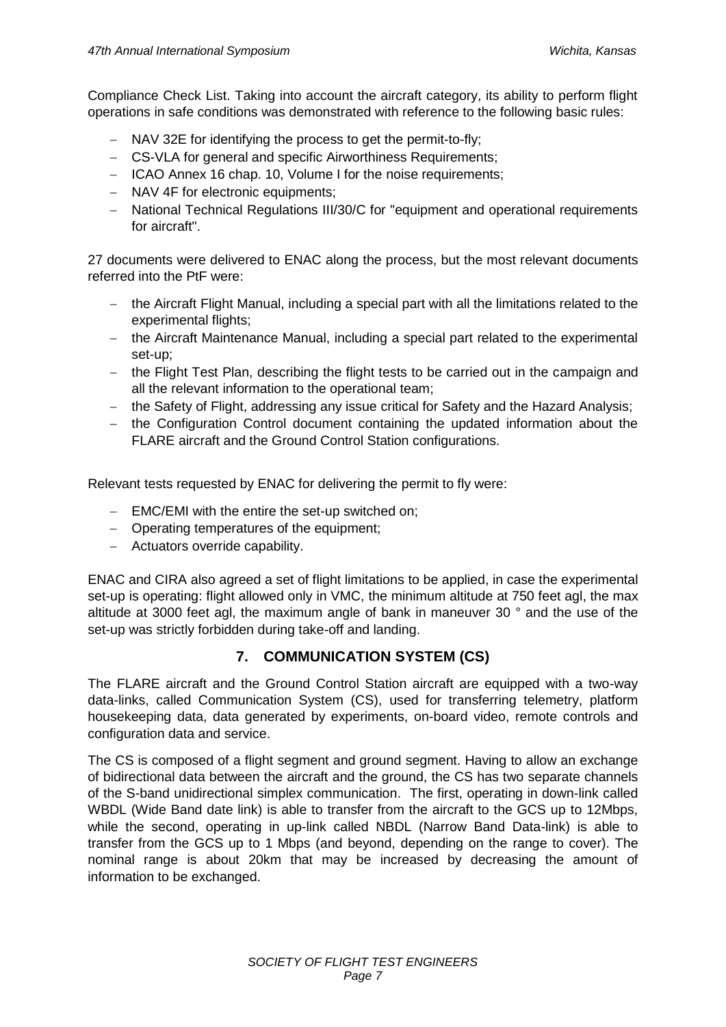Compliance Check List. Taking into account the aircraft category, its ability to perform flight operations in safe conditions was demonstrated with reference to the following basic rules:

- NAV 32E for identifying the process to get the permit-to-fly;
- CS-VLA for general and specific Airworthiness Requirements;
- ICAO Annex 16 chap. 10, Volume I for the noise requirements;
- NAV 4F for electronic equipments:
- National Technical Regulations III/30/C for "equipment and operational requirements for aircraft".

27 documents were delivered to ENAC along the process, but the most relevant documents referred into the PtF were:

- the Aircraft Flight Manual, including a special part with all the limitations related to the experimental flights;
- the Aircraft Maintenance Manual, including a special part related to the experimental set-up;
- the Flight Test Plan, describing the flight tests to be carried out in the campaign and all the relevant information to the operational team;
- the Safety of Flight, addressing any issue critical for Safety and the Hazard Analysis;
- the Configuration Control document containing the updated information about the FLARE aircraft and the Ground Control Station configurations.

Relevant tests requested by ENAC for delivering the permit to fly were:

- EMC/EMI with the entire the set-up switched on;
- Operating temperatures of the equipment;
- Actuators override capability.

ENAC and CIRA also agreed a set of flight limitations to be applied, in case the experimental set-up is operating: flight allowed only in VMC, the minimum altitude at 750 feet agl, the max altitude at 3000 feet agl, the maximum angle of bank in maneuver 30 ° and the use of the set-up was strictly forbidden during take-off and landing.

## **7. COMMUNICATION SYSTEM (CS)**

The FLARE aircraft and the Ground Control Station aircraft are equipped with a two-way data-links, called Communication System (CS), used for transferring telemetry, platform housekeeping data, data generated by experiments, on-board video, remote controls and configuration data and service.

The CS is composed of a flight segment and ground segment. Having to allow an exchange of bidirectional data between the aircraft and the ground, the CS has two separate channels of the S-band unidirectional simplex communication. The first, operating in down-link called WBDL (Wide Band date link) is able to transfer from the aircraft to the GCS up to 12Mbps, while the second, operating in up-link called NBDL (Narrow Band Data-link) is able to transfer from the GCS up to 1 Mbps (and beyond, depending on the range to cover). The nominal range is about 20km that may be increased by decreasing the amount of information to be exchanged.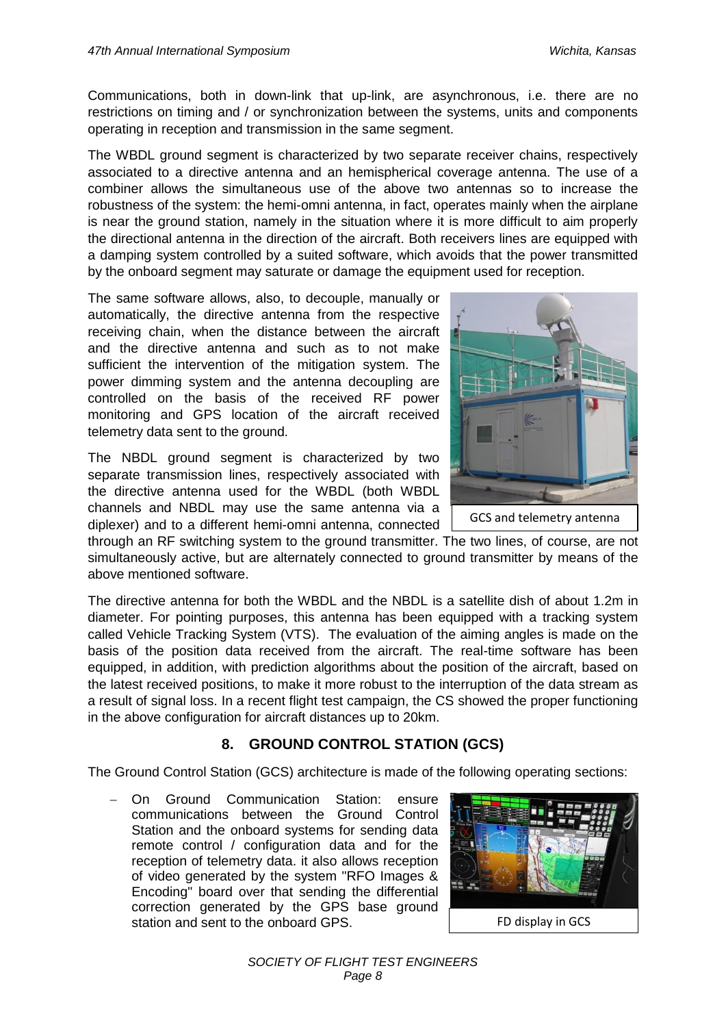Communications, both in down-link that up-link, are asynchronous, i.e. there are no restrictions on timing and / or synchronization between the systems, units and components operating in reception and transmission in the same segment.

The WBDL ground segment is characterized by two separate receiver chains, respectively associated to a directive antenna and an hemispherical coverage antenna. The use of a combiner allows the simultaneous use of the above two antennas so to increase the robustness of the system: the hemi-omni antenna, in fact, operates mainly when the airplane is near the ground station, namely in the situation where it is more difficult to aim properly the directional antenna in the direction of the aircraft. Both receivers lines are equipped with a damping system controlled by a suited software, which avoids that the power transmitted by the onboard segment may saturate or damage the equipment used for reception.

The same software allows, also, to decouple, manually or automatically, the directive antenna from the respective receiving chain, when the distance between the aircraft and the directive antenna and such as to not make sufficient the intervention of the mitigation system. The power dimming system and the antenna decoupling are controlled on the basis of the received RF power monitoring and GPS location of the aircraft received telemetry data sent to the ground.

The NBDL ground segment is characterized by two separate transmission lines, respectively associated with the directive antenna used for the WBDL (both WBDL channels and NBDL may use the same antenna via a diplexer) and to a different hemi-omni antenna, connected



through an RF switching system to the ground transmitter. The two lines, of course, are not simultaneously active, but are alternately connected to ground transmitter by means of the above mentioned software.

The directive antenna for both the WBDL and the NBDL is a satellite dish of about 1.2m in diameter. For pointing purposes, this antenna has been equipped with a tracking system called Vehicle Tracking System (VTS). The evaluation of the aiming angles is made on the basis of the position data received from the aircraft. The real-time software has been equipped, in addition, with prediction algorithms about the position of the aircraft, based on the latest received positions, to make it more robust to the interruption of the data stream as a result of signal loss. In a recent flight test campaign, the CS showed the proper functioning in the above configuration for aircraft distances up to 20km.

# **8. GROUND CONTROL STATION (GCS)**

The Ground Control Station (GCS) architecture is made of the following operating sections:

 On Ground Communication Station: ensure communications between the Ground Control Station and the onboard systems for sending data remote control / configuration data and for the reception of telemetry data. it also allows reception of video generated by the system "RFO Images & Encoding" board over that sending the differential correction generated by the GPS base ground station and sent to the onboard GPS.

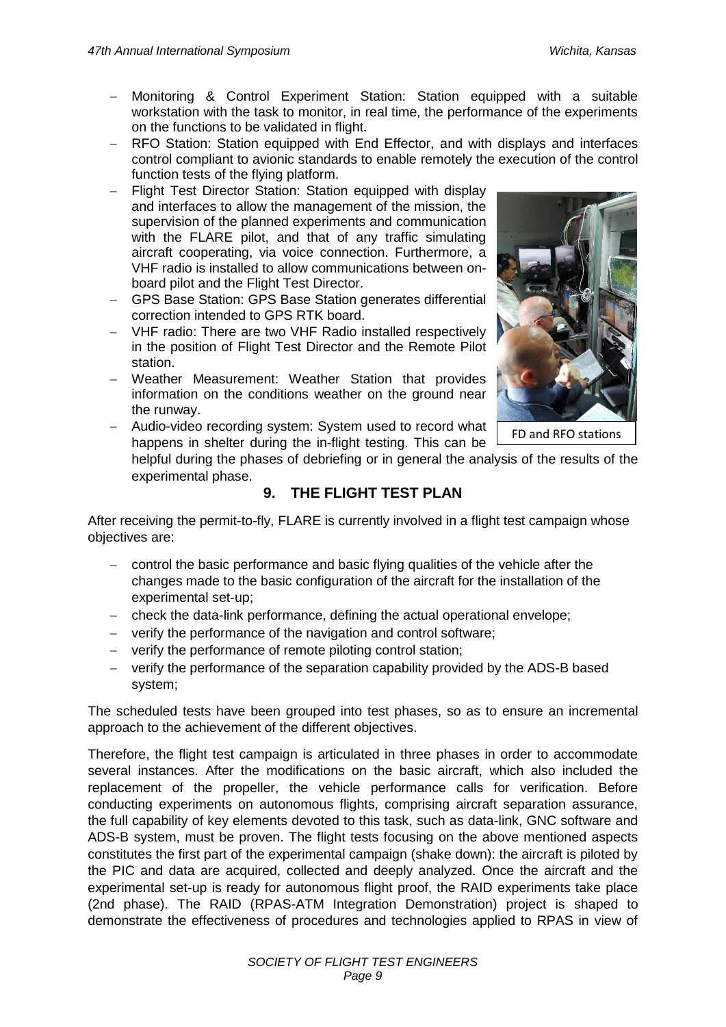- Monitoring & Control Experiment Station: Station equipped with a suitable workstation with the task to monitor, in real time, the performance of the experiments on the functions to be validated in flight.
- RFO Station: Station equipped with End Effector, and with displays and interfaces control compliant to avionic standards to enable remotely the execution of the control function tests of the flying platform.
- Flight Test Director Station: Station equipped with display and interfaces to allow the management of the mission, the supervision of the planned experiments and communication with the FLARE pilot, and that of any traffic simulating aircraft cooperating, via voice connection. Furthermore, a VHF radio is installed to allow communications between onboard pilot and the Flight Test Director.
- GPS Base Station: GPS Base Station generates differential correction intended to GPS RTK board.
- VHF radio: There are two VHF Radio installed respectively in the position of Flight Test Director and the Remote Pilot station.
- Weather Measurement: Weather Station that provides information on the conditions weather on the ground near the runway.

- Audio-video recording system: System used to record what



FD and RFO stations

happens in shelter during the in-flight testing. This can be helpful during the phases of debriefing or in general the analysis of the results of the experimental phase.

# **9. THE FLIGHT TEST PLAN**

After receiving the permit-to-fly, FLARE is currently involved in a flight test campaign whose objectives are:

- control the basic performance and basic flying qualities of the vehicle after the changes made to the basic configuration of the aircraft for the installation of the experimental set-up;
- check the data-link performance, defining the actual operational envelope;
- verify the performance of the navigation and control software;
- verify the performance of remote piloting control station;
- verify the performance of the separation capability provided by the ADS-B based system;

The scheduled tests have been grouped into test phases, so as to ensure an incremental approach to the achievement of the different objectives.

Therefore, the flight test campaign is articulated in three phases in order to accommodate several instances. After the modifications on the basic aircraft, which also included the replacement of the propeller, the vehicle performance calls for verification. Before conducting experiments on autonomous flights, comprising aircraft separation assurance, the full capability of key elements devoted to this task, such as data-link, GNC software and ADS-B system, must be proven. The flight tests focusing on the above mentioned aspects constitutes the first part of the experimental campaign (shake down): the aircraft is piloted by the PIC and data are acquired, collected and deeply analyzed. Once the aircraft and the experimental set-up is ready for autonomous flight proof, the RAID experiments take place (2nd phase). The RAID (RPAS-ATM Integration Demonstration) project is shaped to demonstrate the effectiveness of procedures and technologies applied to RPAS in view of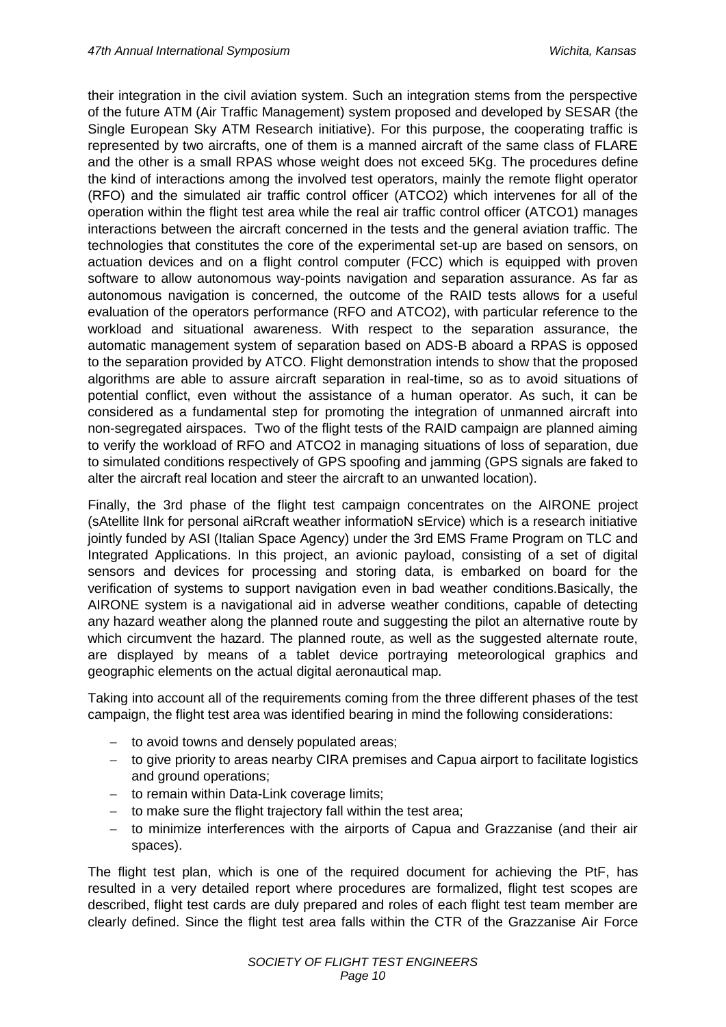their integration in the civil aviation system. Such an integration stems from the perspective of the future ATM (Air Traffic Management) system proposed and developed by SESAR (the Single European Sky ATM Research initiative). For this purpose, the cooperating traffic is represented by two aircrafts, one of them is a manned aircraft of the same class of FLARE and the other is a small RPAS whose weight does not exceed 5Kg. The procedures define the kind of interactions among the involved test operators, mainly the remote flight operator (RFO) and the simulated air traffic control officer (ATCO2) which intervenes for all of the operation within the flight test area while the real air traffic control officer (ATCO1) manages interactions between the aircraft concerned in the tests and the general aviation traffic. The technologies that constitutes the core of the experimental set-up are based on sensors, on actuation devices and on a flight control computer (FCC) which is equipped with proven software to allow autonomous way-points navigation and separation assurance. As far as autonomous navigation is concerned, the outcome of the RAID tests allows for a useful evaluation of the operators performance (RFO and ATCO2), with particular reference to the workload and situational awareness. With respect to the separation assurance, the automatic management system of separation based on ADS-B aboard a RPAS is opposed to the separation provided by ATCO. Flight demonstration intends to show that the proposed algorithms are able to assure aircraft separation in real-time, so as to avoid situations of potential conflict, even without the assistance of a human operator. As such, it can be considered as a fundamental step for promoting the integration of unmanned aircraft into non-segregated airspaces. Two of the flight tests of the RAID campaign are planned aiming to verify the workload of RFO and ATCO2 in managing situations of loss of separation, due to simulated conditions respectively of GPS spoofing and jamming (GPS signals are faked to alter the aircraft real location and steer the aircraft to an unwanted location).

Finally, the 3rd phase of the flight test campaign concentrates on the AIRONE project (sAtellite lInk for personal aiRcraft weather informatioN sErvice) which is a research initiative jointly funded by ASI (Italian Space Agency) under the 3rd EMS Frame Program on TLC and Integrated Applications. In this project, an avionic payload, consisting of a set of digital sensors and devices for processing and storing data, is embarked on board for the verification of systems to support navigation even in bad weather conditions.Basically, the AIRONE system is a navigational aid in adverse weather conditions, capable of detecting any hazard weather along the planned route and suggesting the pilot an alternative route by which circumvent the hazard. The planned route, as well as the suggested alternate route, are displayed by means of a tablet device portraying meteorological graphics and geographic elements on the actual digital aeronautical map.

Taking into account all of the requirements coming from the three different phases of the test campaign, the flight test area was identified bearing in mind the following considerations:

- to avoid towns and densely populated areas:
- to give priority to areas nearby CIRA premises and Capua airport to facilitate logistics and ground operations;
- to remain within Data-Link coverage limits;
- $-$  to make sure the flight trajectory fall within the test area;
- to minimize interferences with the airports of Capua and Grazzanise (and their air spaces).

The flight test plan, which is one of the required document for achieving the PtF, has resulted in a very detailed report where procedures are formalized, flight test scopes are described, flight test cards are duly prepared and roles of each flight test team member are clearly defined. Since the flight test area falls within the CTR of the Grazzanise Air Force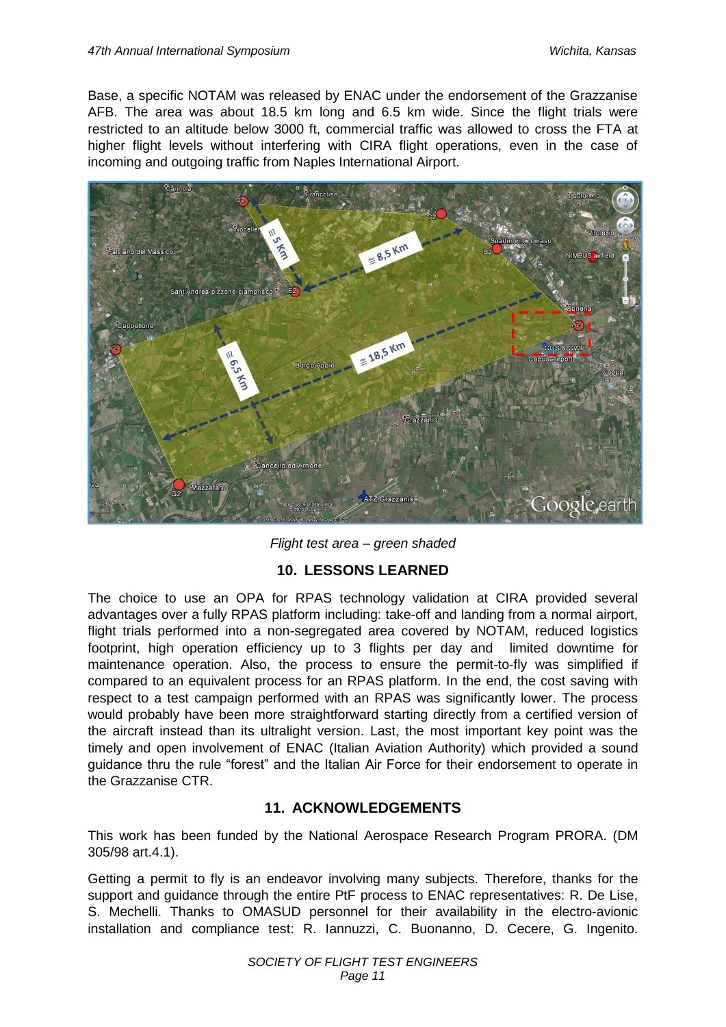Base, a specific NOTAM was released by ENAC under the endorsement of the Grazzanise AFB. The area was about 18.5 km long and 6.5 km wide. Since the flight trials were restricted to an altitude below 3000 ft, commercial traffic was allowed to cross the FTA at higher flight levels without interfering with CIRA flight operations, even in the case of incoming and outgoing traffic from Naples International Airport.



*Flight test area – green shaded*

## **10. LESSONS LEARNED**

The choice to use an OPA for RPAS technology validation at CIRA provided several advantages over a fully RPAS platform including: take-off and landing from a normal airport, flight trials performed into a non-segregated area covered by NOTAM, reduced logistics footprint, high operation efficiency up to 3 flights per day and limited downtime for maintenance operation. Also, the process to ensure the permit-to-fly was simplified if compared to an equivalent process for an RPAS platform. In the end, the cost saving with respect to a test campaign performed with an RPAS was significantly lower. The process would probably have been more straightforward starting directly from a certified version of the aircraft instead than its ultralight version. Last, the most important key point was the timely and open involvement of ENAC (Italian Aviation Authority) which provided a sound guidance thru the rule "forest" and the Italian Air Force for their endorsement to operate in the Grazzanise CTR.

## **11. ACKNOWLEDGEMENTS**

This work has been funded by the National Aerospace Research Program PRORA. (DM 305/98 art.4.1).

Getting a permit to fly is an endeavor involving many subjects. Therefore, thanks for the support and guidance through the entire PtF process to ENAC representatives: R. De Lise, S. Mechelli. Thanks to OMASUD personnel for their availability in the electro-avionic installation and compliance test: R. Iannuzzi, C. Buonanno, D. Cecere, G. Ingenito.